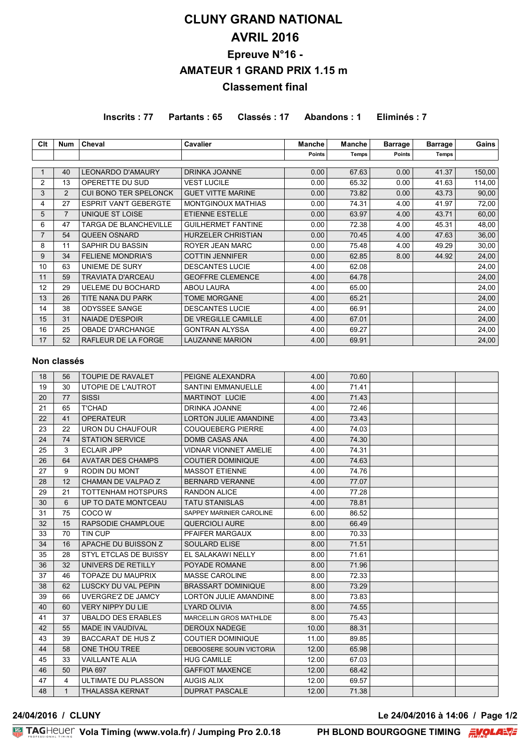# **CLUNY GRAND NATIONAL AVRIL 2016 Epreuve N°16 - AMATEUR 1 GRAND PRIX 1.15 m Classement final**

**Inscrits : 77 Partants : 65 Classés : 17 Abandons : 1 Eliminés : 7**

| Clt            | <b>Num</b>     | Cheval                       | Cavalier                  | <b>Manche</b> | <b>Manche</b> | <b>Barrage</b> | <b>Barrage</b> | Gains  |
|----------------|----------------|------------------------------|---------------------------|---------------|---------------|----------------|----------------|--------|
|                |                |                              |                           | <b>Points</b> | <b>Temps</b>  | <b>Points</b>  | Temps          |        |
|                |                |                              |                           |               |               |                |                |        |
|                | 40             | <b>LEONARDO D'AMAURY</b>     | <b>DRINKA JOANNE</b>      | 0.00          | 67.63         | 0.00           | 41.37          | 150,00 |
| 2              | 13             | OPERETTE DU SUD              | <b>VEST LUCILE</b>        | 0.00          | 65.32         | 0.00           | 41.63          | 114,00 |
| 3              | 2              | <b>CUI BONO TER SPELONCK</b> | <b>GUET VITTE MARINE</b>  | 0.00          | 73.82         | 0.00           | 43.73          | 90,00  |
| 4              | 27             | <b>ESPRIT VAN'T GEBERGTE</b> | MONTGINOUX MATHIAS        | 0.00          | 74.31         | 4.00           | 41.97          | 72,00  |
| 5              | $\overline{7}$ | UNIQUE ST LOISE              | <b>ETIENNE ESTELLE</b>    | 0.00          | 63.97         | 4.00           | 43.71          | 60,00  |
| 6              | 47             | <b>TARGA DE BLANCHEVILLE</b> | <b>GUILHERMET FANTINE</b> | 0.00          | 72.38         | 4.00           | 45.31          | 48,00  |
| $\overline{7}$ | 54             | <b>QUEEN OSNARD</b>          | <b>HURZELER CHRISTIAN</b> | 0.00          | 70.45         | 4.00           | 47.63          | 36,00  |
| 8              | 11             | SAPHIR DU BASSIN             | <b>ROYER JEAN MARC</b>    | 0.00          | 75.48         | 4.00           | 49.29          | 30,00  |
| 9              | 34             | <b>FELIENE MONDRIA'S</b>     | <b>COTTIN JENNIFER</b>    | 0.00          | 62.85         | 8.00           | 44.92          | 24,00  |
| 10             | 63             | UNIEME DE SURY               | <b>DESCANTES LUCIE</b>    | 4.00          | 62.08         |                |                | 24,00  |
| 11             | 59             | <b>TRAVIATA D'ARCEAU</b>     | <b>GEOFFRE CLEMENCE</b>   | 4.00          | 64.78         |                |                | 24,00  |
| 12             | 29             | <b>UELEME DU BOCHARD</b>     | <b>ABOU LAURA</b>         | 4.00          | 65.00         |                |                | 24,00  |
| 13             | 26             | TITE NANA DU PARK            | <b>TOME MORGANE</b>       | 4.00          | 65.21         |                |                | 24,00  |
| 14             | 38             | <b>ODYSSEE SANGE</b>         | <b>DESCANTES LUCIE</b>    | 4.00          | 66.91         |                |                | 24,00  |
| 15             | 31             | <b>NAIADE D'ESPOIR</b>       | DE VREGILLE CAMILLE       | 4.00          | 67.01         |                |                | 24,00  |
| 16             | 25             | <b>OBADE D'ARCHANGE</b>      | <b>GONTRAN ALYSSA</b>     | 4.00          | 69.27         |                |                | 24,00  |
| 17             | 52             | RAFLEUR DE LA FORGE          | <b>LAUZANNE MARION</b>    | 4.00          | 69.91         |                |                | 24,00  |

### **Non classés**

| 18 | 56           | <b>TOUPIE DE RAVALET</b>  | PEIGNE ALEXANDRA             | 4.00  | 70.60 |  |  |
|----|--------------|---------------------------|------------------------------|-------|-------|--|--|
| 19 | 30           | UTOPIE DE L'AUTROT        | <b>SANTINI EMMANUELLE</b>    | 4.00  | 71.41 |  |  |
| 20 | 77           | <b>SISSI</b>              | MARTINOT LUCIE               | 4.00  | 71.43 |  |  |
| 21 | 65           | <b>T'CHAD</b>             | DRINKA JOANNE                | 4.00  | 72.46 |  |  |
| 22 | 41           | <b>OPERATEUR</b>          | <b>LORTON JULIE AMANDINE</b> | 4.00  | 73.43 |  |  |
| 23 | 22           | URON DU CHAUFOUR          | <b>COUQUEBERG PIERRE</b>     | 4.00  | 74.03 |  |  |
| 24 | 74           | <b>STATION SERVICE</b>    | <b>DOMB CASAS ANA</b>        | 4.00  | 74.30 |  |  |
| 25 | 3            | <b>ECLAIR JPP</b>         | <b>VIDNAR VIONNET AMELIE</b> | 4.00  | 74.31 |  |  |
| 26 | 64           | <b>AVATAR DES CHAMPS</b>  | <b>COUTIER DOMINIQUE</b>     | 4.00  | 74.63 |  |  |
| 27 | 9            | RODIN DU MONT             | <b>MASSOT ETIENNE</b>        | 4.00  | 74.76 |  |  |
| 28 | 12           | CHAMAN DE VALPAO Z        | <b>BERNARD VERANNE</b>       | 4.00  | 77.07 |  |  |
| 29 | 21           | <b>TOTTENHAM HOTSPURS</b> | <b>RANDON ALICE</b>          | 4.00  | 77.28 |  |  |
| 30 | 6            | UP TO DATE MONTCEAU       | <b>TATU STANISLAS</b>        | 4.00  | 78.81 |  |  |
| 31 | 75           | COCO W                    | SAPPEY MARINIER CAROLINE     | 6.00  | 86.52 |  |  |
| 32 | 15           | RAPSODIE CHAMPLOUE        | <b>QUERCIOLI AURE</b>        | 8.00  | 66.49 |  |  |
| 33 | 70           | TIN CUP                   | PFAIFER MARGAUX              | 8.00  | 70.33 |  |  |
| 34 | 16           | APACHE DU BUISSON Z       | <b>SOULARD ELISE</b>         | 8.00  | 71.51 |  |  |
| 35 | 28           | STYL ETCLAS DE BUISSY     | EL SALAKAWI NELLY            | 8.00  | 71.61 |  |  |
| 36 | 32           | UNIVERS DE RETILLY        | POYADE ROMANE                | 8.00  | 71.96 |  |  |
| 37 | 46           | <b>TOPAZE DU MAUPRIX</b>  | <b>MASSE CAROLINE</b>        | 8.00  | 72.33 |  |  |
| 38 | 62           | LUSCKY DU VAL PEPIN       | <b>BRASSART DOMINIQUE</b>    | 8.00  | 73.29 |  |  |
| 39 | 66           | UVERGRE'Z DE JAMCY        | <b>LORTON JULIE AMANDINE</b> | 8.00  | 73.83 |  |  |
| 40 | 60           | <b>VERY NIPPY DU LIE</b>  | <b>LYARD OLIVIA</b>          | 8.00  | 74.55 |  |  |
| 41 | 37           | <b>UBALDO DES ERABLES</b> | MARCELLIN GROS MATHILDE      | 8.00  | 75.43 |  |  |
| 42 | 55           | <b>MADE IN VAUDIVAL</b>   | DEROUX NADEGE                | 10.00 | 88.31 |  |  |
| 43 | 39           | <b>BACCARAT DE HUS Z</b>  | <b>COUTIER DOMINIQUE</b>     | 11.00 | 89.85 |  |  |
| 44 | 58           | ONE THOU TREE             | DEBOOSERE SOUIN VICTORIA     | 12.00 | 65.98 |  |  |
| 45 | 33           | <b>VAILLANTE ALIA</b>     | <b>HUG CAMILLE</b>           | 12.00 | 67.03 |  |  |
| 46 | 50           | <b>PIA 697</b>            | <b>GAFFIOT MAXENCE</b>       | 12.00 | 68.42 |  |  |
| 47 | 4            | ULTIMATE DU PLASSON       | <b>AUGIS ALIX</b>            | 12.00 | 69.57 |  |  |
| 48 | $\mathbf{1}$ | <b>THALASSA KERNAT</b>    | <b>DUPRAT PASCALE</b>        | 12.00 | 71.38 |  |  |

**24/04/2016 / CLUNY Le 24/04/2016 à 14:06 / Page 1/2**